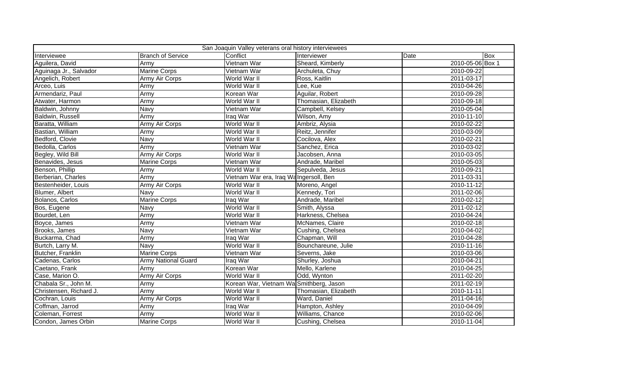| San Joaquin Valley veterans oral history interviewees |                            |                                         |                      |                  |     |
|-------------------------------------------------------|----------------------------|-----------------------------------------|----------------------|------------------|-----|
| Interviewee                                           | <b>Branch of Service</b>   | Conflict                                | Interviewer          | Date             | Box |
| Aguilera, David                                       | Army                       | Vietnam War                             | Sheard, Kimberly     | 2010-05-06 Box 1 |     |
| Aguinaga Jr., Salvador                                | <b>Marine Corps</b>        | Vietnam War                             | Archuleta, Chuy      | 2010-09-22       |     |
| Angelich, Robert                                      | <b>Army Air Corps</b>      | World War II                            | Ross, Kaitlin        | 2011-03-17       |     |
| Arceo, Luis                                           | Army                       | World War II                            | Lee, Kue             | 2010-04-26       |     |
| Armendariz, Paul                                      | Army                       | Korean War                              | Aguilar, Robert      | 2010-09-28       |     |
| Atwater, Harmon                                       | Army                       | World War II                            | Thomasian, Elizabeth | 2010-09-18       |     |
| Baldwin, Johnny                                       | Navy                       | Vietnam War                             | Campbell, Kelsey     | 2010-05-04       |     |
| Baldwin, Russell                                      | Army                       | Iraq War                                | Wilson, Amy          | 2010-11-10       |     |
| Baratta, William                                      | <b>Army Air Corps</b>      | World War II                            | Ambriz, Alysia       | 2010-02-22       |     |
| Bastian, William                                      | Army                       | World War II                            | Reitz, Jennifer      | 2010-03-09       |     |
| Bedford, Clovie                                       | Navy                       | World War II                            | Cocilova, Alex       | 2010-02-21       |     |
| Bedolla, Carlos                                       | Army                       | Vietnam War                             | Sanchez, Erica       | 2010-03-02       |     |
| Begley, Wild Bill                                     | <b>Army Air Corps</b>      | World War II                            | Jacobsen, Anna       | 2010-03-05       |     |
| Benavides, Jesus                                      | <b>Marine Corps</b>        | Vietnam War                             | Andrade, Maribel     | 2010-05-03       |     |
| Benson, Phillip                                       | Army                       | World War II                            | Sepulveda, Jesus     | 2010-09-21       |     |
| Berberian, Charles                                    | Army                       | Vietnam War era, Iraq Wa Ingersoll, Ben |                      | 2011-03-31       |     |
| Bestenheider, Louis                                   | Army Air Corps             | World War II                            | Moreno, Angel        | 2010-11-12       |     |
| Blumer, Albert                                        | Navy                       | World War II                            | Kennedy, Tori        | 2011-02-06       |     |
| Bolanos, Carlos                                       | <b>Marine Corps</b>        | Iraq War                                | Andrade, Maribel     | 2010-02-12       |     |
| Bos, Eugene                                           | Navy                       | World War II                            | Smith, Alyssa        | 2011-02-12       |     |
| Bourdet, Len                                          | Army                       | World War II                            | Harkness, Chelsea    | 2010-04-24       |     |
| Boyce, James                                          | Army                       | Vietnam War                             | McNames, Claire      | 2010-02-18       |     |
| Brooks, James                                         | <b>Navy</b>                | Vietnam War                             | Cushing, Chelsea     | 2010-04-02       |     |
| Buckarma, Chad                                        | Army                       | Iraq War                                | Chapman, Will        | 2010-04-28       |     |
| Burtch, Larry M.                                      | Navy                       | World War II                            | Bounchareune, Julie  | 2010-11-16       |     |
| Butcher, Franklin                                     | <b>Marine Corps</b>        | Vietnam War                             | Severns, Jake        | 2010-03-06       |     |
| Cadenas, Carlos                                       | <b>Army National Guard</b> | Iraq War                                | Shurley, Joshua      | 2010-04-21       |     |
| Caetano, Frank                                        | Army                       | Korean War                              | Mello, Karlene       | 2010-04-25       |     |
| Case, Marion O.                                       | <b>Army Air Corps</b>      | World War II                            | Odd, Wynton          | 2011-02-20       |     |
| Chabala Sr., John M.                                  | Army                       | Korean War, Vietnam Wa Smithberg, Jason |                      | 2011-02-19       |     |
| Christensen, Richard J.                               | Army                       | World War II                            | Thomasian, Elizabeth | 2010-11-11       |     |
| Cochran, Louis                                        | Army Air Corps             | World War II                            | Ward, Daniel         | 2011-04-16       |     |
| Coffman, Jarrod                                       | Army                       | Iraq War                                | Hampton, Ashley      | 2010-04-09       |     |
| Coleman, Forrest                                      | Army                       | World War II                            | Williams, Chance     | 2010-02-06       |     |
| Condon, James Orbin                                   | <b>Marine Corps</b>        | World War II                            | Cushing, Chelsea     | 2010-11-04       |     |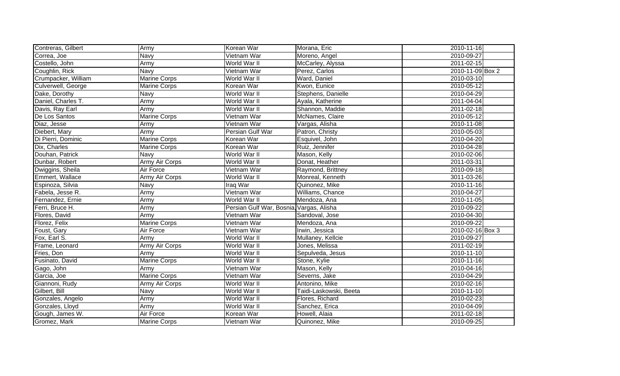| Contreras, Gilbert  | Army                  | Korean War                               | Morana, Eric           | 2010-11-16       |
|---------------------|-----------------------|------------------------------------------|------------------------|------------------|
| Correa, Joe         | <b>Navy</b>           | Vietnam War                              | Moreno, Angel          | 2010-09-27       |
| Costello, John      | Army                  | World War II                             | McCarley, Alyssa       | 2011-02-15       |
| Coughlin, Rick      | <b>Navy</b>           | Vietnam War                              | Perez, Carlos          | 2010-11-09 Box 2 |
| Crumpacker, William | <b>Marine Corps</b>   | World War II                             | Ward, Daniel           | 2010-03-10       |
| Culverwell, George  | Marine Corps          | Korean War                               | Kwon, Eunice           | 2010-05-12       |
| Dake, Dorothy       | Navy                  | World War II                             | Stephens, Danielle     | 2010-04-29       |
| Daniel, Charles T.  | Army                  | World War II                             | Ayala, Katherine       | 2011-04-04       |
| Davis, Ray Earl     | Army                  | World War II                             | Shannon, Maddie        | 2011-02-18       |
| De Los Santos       | <b>Marine Corps</b>   | Vietnam War                              | McNames, Claire        | 2010-05-12       |
| Diaz, Jesse         | Army                  | Vietnam War                              | Vargas, Alisha         | 2010-11-08       |
| Diebert, Mary       | Army                  | Persian Gulf War                         | Patron, Christy        | 2010-05-03       |
| Di Pierri, Dominic  | <b>Marine Corps</b>   | Korean War                               | Esquivel, John         | 2010-04-20       |
| Dix, Charles        | <b>Marine Corps</b>   | Korean War                               | Ruiz, Jennifer         | 2010-04-28       |
| Douhan, Patrick     | Navy                  | World War II                             | Mason, Kelly           | 2010-02-06       |
| Dunbar, Robert      | <b>Army Air Corps</b> | World War II                             | Donat, Heather         | 2011-03-31       |
| Dwiggins, Sheila    | Air Force             | Vietnam War                              | Raymond, Brittney      | 2010-09-18       |
| Emmert, Wallace     | <b>Army Air Corps</b> | World War II                             | Monreal, Kenneth       | 3011-03-26       |
| Espinoza, Silvia    | Navy                  | Iraq War                                 | Quinonez, Mike         | 2010-11-16       |
| Fabela, Jesse R.    | Army                  | Vietnam War                              | Williams, Chance       | 2010-04-27       |
| Fernandez, Ernie    | Army                  | World War II                             | Mendoza, Ana           | 2010-11-05       |
| Ferri, Bruce H.     | Army                  | Persian Gulf War, Bosnia, Vargas, Alisha |                        | 2010-09-22       |
| Flores, David       | Army                  | Vietnam War                              | Sandoval, Jose         | 2010-04-30       |
| Florez, Felix       | <b>Marine Corps</b>   | Vietnam War                              | Mendoza, Ana           | 2010-09-22       |
| Foust, Gary         | Air Force             | Vietnam War                              | Irwin, Jessica         | 2010-02-16 Box 3 |
| Fox, Earl S.        | Army                  | World War II                             | Mullaney, Kellcie      | 2010-09-27       |
| Frame, Leonard      | Army Air Corps        | World War II                             | Jones, Melissa         | 2011-02-19       |
| Fries, Don          | Army                  | World War II                             | Sepulveda, Jesus       | 2010-11-10       |
| Fusinato, David     | <b>Marine Corps</b>   | World War II                             | Stone, Kylie           | 2010-11-16       |
| Gago, John          | Army                  | Vietnam War                              | Mason, Kelly           | 2010-04-16       |
| Garcia, Joe         | <b>Marine Corps</b>   | Vietnam War                              | Severns, Jake          | 2010-04-29       |
| Giannoni, Rudy      | Army Air Corps        | World War II                             | Antonino, Mike         | 2010-02-16       |
| Gilbert, Bill       | Navy                  | World War II                             | Taidi-Laskowski, Beeta | 2010-11-10       |
| Gonzales, Angelo    | Army                  | World War II                             | Flores, Richard        | 2010-02-23       |
| Gonzales, Lloyd     | Army                  | World War II                             | Sanchez, Erica         | 2010-04-09       |
| Gough, James W.     | Air Force             | Korean War                               | Howell, Alaia          | 2011-02-18       |
| Gromez, Mark        | <b>Marine Corps</b>   | Vietnam War                              | Quinonez, Mike         | 2010-09-25       |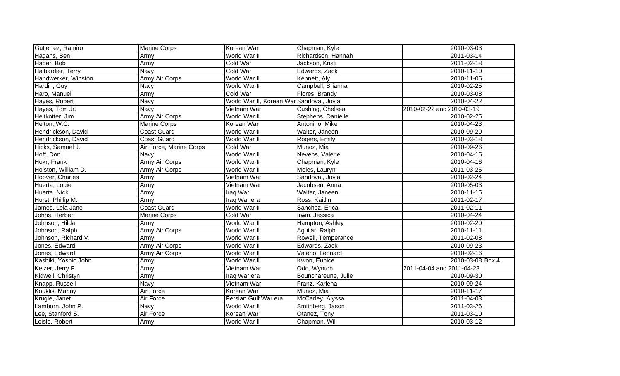| Gutierrez, Ramiro    | <b>Marine Corps</b>     | Korean War                               | Chapman, Kyle       | 2010-03-03                |  |
|----------------------|-------------------------|------------------------------------------|---------------------|---------------------------|--|
| Hagans, Ben          | Army                    | World War II                             | Richardson, Hannah  | 2011-03-14                |  |
| Hager, Bob           | <b>Army</b>             | <b>Cold War</b>                          | Jackson, Kristi     | 2011-02-18                |  |
| Halbardier, Terry    | Navy                    | Cold War                                 | Edwards, Zack       | 2010-11-10                |  |
| Handwerker, Winston  | Army Air Corps          | World War II                             | Kennett, Aly        | 2010-11-05                |  |
| Hardin, Guy          | Navy                    | World War II                             | Campbell, Brianna   | 2010-02-25                |  |
| Haro, Manuel         | Army                    | Cold War                                 | Flores, Brandy      | 2010-03-08                |  |
| Hayes, Robert        | Navy                    | World War II, Korean War Sandoval, Joyia |                     | 2010-04-22                |  |
| Hayes, Tom Jr.       | Navy                    | Vietnam War                              | Cushing, Chelsea    | 2010-02-22 and 2010-03-19 |  |
| Heitkotter, Jim      | Army Air Corps          | World War II                             | Stephens, Danielle  | 2010-02-25                |  |
| Helton, W.C.         | Marine Corps            | Korean War                               | Antonino, Mike      | 2010-04-23                |  |
| Hendrickson, David   | <b>Coast Guard</b>      | World War II                             | Walter, Janeen      | 2010-09-20                |  |
| Hendrickson, David   | <b>Coast Guard</b>      | World War II                             | Rogers, Emily       | 2010-03-18                |  |
| Hicks, Samuel J.     | Air Force, Marine Corps | <b>Cold War</b>                          | Munoz, Mia          | 2010-09-26                |  |
| Hoff, Don            | Navy                    | World War II                             | Nevens, Valerie     | 2010-04-15                |  |
| Hokr, Frank          | <b>Army Air Corps</b>   | World War II                             | Chapman, Kyle       | 2010-04-16                |  |
| Holston, William D.  | Army Air Corps          | World War II                             | Moles, Lauryn       | 2011-03-25                |  |
| Hoover, Charles      | Army                    | Vietnam War                              | Sandoval, Joyia     | 2010-02-24                |  |
| Huerta, Louie        | Army                    | Vietnam War                              | Jacobsen, Anna      | 2010-05-03                |  |
| Huerta, Nick         | Army                    | Iraq War                                 | Walter, Janeen      | 2010-11-15                |  |
| Hurst, Phillip M.    | Army                    | Iraq War era                             | Ross, Kaitlin       | $2011 - 02 - 17$          |  |
| James, Lela Jane     | <b>Coast Guard</b>      | World War II                             | Sanchez, Erica      | 2011-02-11                |  |
| Johns, Herbert       | <b>Marine Corps</b>     | Cold War                                 | Irwin, Jessica      | 2010-04-24                |  |
| Johnson, Hilda       | Army                    | World War II                             | Hampton, Ashley     | 2010-02-20                |  |
| Johnson, Ralph       | Army Air Corps          | World War II                             | Aguilar, Ralph      | 2010-11-11                |  |
| Johnson, Richard V.  | Army                    | World War II                             | Rowell, Temperance  | 2011-02-08                |  |
| Jones, Edward        | <b>Army Air Corps</b>   | World War II                             | Edwards, Zack       | 2010-09-23                |  |
| Jones, Edward        | Army Air Corps          | World War II                             | Valerio, Leonard    | 2010-02-16                |  |
| Kashiki, Yoshio John | Army                    | World War II                             | Kwon, Eunice        | 2010-03-08 Box 4          |  |
| Kelzer, Jerry F.     | Army                    | Vietnam War                              | Odd, Wynton         | 2011-04-04 and 2011-04-23 |  |
| Kidwell, Christyn    | Army                    | Iraq War era                             | Bounchareune, Julie | 2010-09-30                |  |
| Knapp, Russell       | Navy                    | Vietnam War                              | Franz, Karlena      | 2010-09-24                |  |
| Kouklis, Manny       | Air Force               | Korean War                               | Munoz, Mia          | 2010-11-17                |  |
| Krugle, Janet        | Air Force               | Persian Gulf War era                     | McCarley, Alyssa    | 2011-04-03                |  |
| Lamborn, John P.     | Navy                    | World War II                             | Smithberg, Jason    | 2011-03-26                |  |
| Lee, Stanford S.     | Air Force               | Korean War                               | Otanez, Tony        | 2011-03-10                |  |
| Leisle, Robert       | Army                    | World War II                             | Chapman, Will       | 2010-03-12                |  |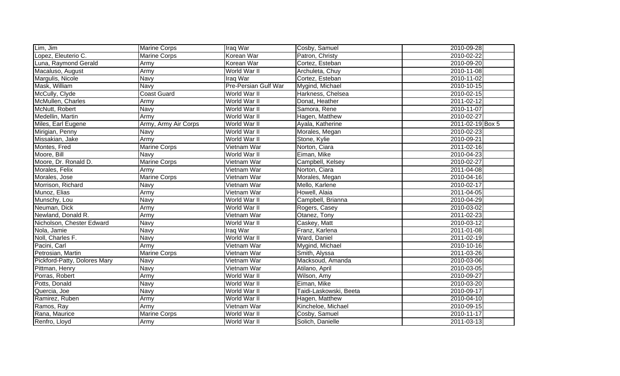| Lim, Jim                     | <b>Marine Corps</b>  | Iraq War                    | Cosby, Samuel          | 2010-09-28       |
|------------------------------|----------------------|-----------------------------|------------------------|------------------|
| Lopez, Eleuterio C.          | <b>Marine Corps</b>  | Korean War                  | Patron, Christy        | 2010-02-22       |
| Luna, Raymond Gerald         | Army                 | Korean War                  | Cortez, Esteban        | 2010-09-20       |
| Macaluso, August             | <b>Army</b>          | World War II                | Archuleta, Chuy        | 2010-11-08       |
| Margulis, Nicole             | <b>Navy</b>          | Iraq War                    | Cortez, Esteban        | 2010-11-02       |
| Mask, William                | <b>Navy</b>          | <b>Pre-Persian Gulf War</b> | Mygind, Michael        | 2010-10-15       |
| McCully, Clyde               | <b>Coast Guard</b>   | World War II                | Harkness, Chelsea      | 2010-02-15       |
| McMullen, Charles            | Army                 | World War II                | Donat, Heather         | 2011-02-12       |
| McNutt, Robert               | Navy                 | World War II                | Samora, Rene           | 2010-11-07       |
| Medellin, Martin             | Army                 | World War II                | Hagen, Matthew         | 2010-02-27       |
| Miles, Earl Eugene           | Army, Army Air Corps | World War II                | Ayala, Katherine       | 2011-02-19 Box 5 |
| Mirigian, Penny              | Navy                 | World War II                | Morales, Megan         | 2010-02-23       |
| Missakian, Jake              | Army                 | World War II                | Stone, Kylie           | 2010-09-21       |
| Montes, Fred                 | <b>Marine Corps</b>  | Vietnam War                 | Norton, Ciara          | 2011-02-16       |
| Moore, Bill                  | Navy                 | World War II                | Eiman, Mike            | 2010-04-23       |
| Moore, Dr. Ronald D.         | <b>Marine Corps</b>  | Vietnam War                 | Campbell, Kelsey       | 2010-02-27       |
| Morales, Felix               | Army                 | Vietnam War                 | Norton, Ciara          | 2011-04-08       |
| Morales, Jose                | <b>Marine Corps</b>  | Vietnam War                 | Morales, Megan         | 2010-04-16       |
| Morrison, Richard            | Navy                 | Vietnam War                 | Mello, Karlene         | 2010-02-17       |
| Munoz, Elias                 | Army                 | Vietnam War                 | Howell, Alaia          | 2011-04-05       |
| Munschy, Lou                 | <b>Navy</b>          | World War II                | Campbell, Brianna      | 2010-04-29       |
| Neuman, Dick                 | Army                 | World War II                | Rogers, Casey          | 2010-03-02       |
| Newland, Donald R.           | Army                 | Vietnam War                 | Otanez, Tony           | 2011-02-23       |
| Nicholson, Chester Edward    | Navy                 | World War II                | Caskey, Matt           | 2010-03-12       |
| Nola, Jamie                  | Navy                 | Iraq War                    | Franz, Karlena         | 2011-01-08       |
| Noll, Charles F.             | Navy                 | World War II                | Ward, Daniel           | 2011-02-19       |
| Pacini, Carl                 | Army                 | Vietnam War                 | Mygind, Michael        | 2010-10-16       |
| Petrosian, Martin            | <b>Marine Corps</b>  | Vietnam War                 | Smith, Alyssa          | 2011-03-26       |
| Pickford-Patty, Dolores Mary | <b>Navy</b>          | Vietnam War                 | Macksoud, Amanda       | 2010-03-06       |
| Pittman, Henry               | <b>Navy</b>          | Vietnam War                 | Atilano, April         | 2010-03-05       |
| Porras, Robert               | Army                 | World War II                | Wilson, Amy            | 2010-09-27       |
| Potts, Donald                | <b>Navy</b>          | World War II                | Eiman, Mike            | 2010-03-20       |
| Quercia, Joe                 | Navy                 | World War II                | Taidi-Laskowski, Beeta | 2010-09-17       |
| Ramirez, Ruben               | Army                 | World War II                | Hagen, Matthew         | 2010-04-10       |
| Ramos, Ray                   | Army                 | Vietnam War                 | Kincheloe, Michael     | 2010-09-15       |
| Rana, Maurice                | <b>Marine Corps</b>  | World War II                | Cosby, Samuel          | 2010-11-17       |
| Renfro, Lloyd                | Army                 | World War II                | Solich, Danielle       | 2011-03-13       |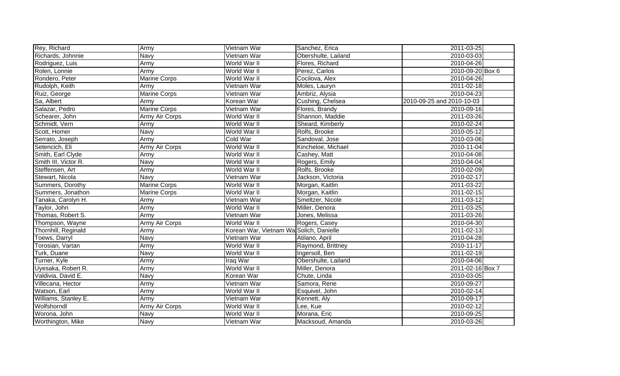| Rey, Richard         | Army                | Vietnam War                             | Sanchez, Erica      | 2011-03-25                |  |
|----------------------|---------------------|-----------------------------------------|---------------------|---------------------------|--|
| Richards, Johnnie    | <b>Navy</b>         | Vietnam War                             | Obershulte, Lailand | 2010-03-03                |  |
| Rodriguez, Luis      | <b>Army</b>         | World War II                            | Flores, Richard     | 2010-04-26                |  |
| Rolen, Lonnie        | Army                | World War II                            | Perez, Carlos       | 2010-09-20 Box 6          |  |
| Rondero, Peter       | <b>Marine Corps</b> | World War II                            | Cocilova, Alex      | 2010-04-26                |  |
| Rudolph, Keith       | Army                | Vietnam War                             | Moles, Lauryn       | 2011-02-18                |  |
| Ruiz, George         | <b>Marine Corps</b> | Vietnam War                             | Ambriz, Alysia      | 2010-04-23                |  |
| Sa, Albert           | Army                | Korean War                              | Cushing, Chelsea    | 2010-09-25 and 2010-10-03 |  |
| Salazar, Pedro       | <b>Marine Corps</b> | Vietnam War                             | Flores, Brandy      | 2010-09-16                |  |
| Schearer, John       | Army Air Corps      | World War II                            | Shannon, Maddie     | 2011-03-26                |  |
| Schmidt, Vern        | Army                | World War II                            | Sheard, Kimberly    | 2010-02-24                |  |
| Scott, Homer         | Navy                | World War II                            | Rolfs, Brooke       | 2010-05-12                |  |
| Serrato, Joseph      | Army                | Cold War                                | Sandoval, Jose      | 2010-03-06                |  |
| Setencich, Eli       | Army Air Corps      | World War II                            | Kincheloe, Michael  | 2010-11-04                |  |
| Smith, Earl Clyde    | Army                | World War II                            | Cashey, Matt        | 2010-04-08                |  |
| Smith III, Victor R. | Navy                | World War II                            | Rogers, Emily       | 2010-04-04                |  |
| Steffensen, Art      | Army                | World War II                            | Rolfs, Brooke       | 2010-02-09                |  |
| Stewart, Nicola      | Navy                | Vietnam War                             | Jackson, Victoria   | 2010-02-17                |  |
| Summers, Dorothy     | <b>Marine Corps</b> | World War II                            | Morgan, Kaitlin     | 2011-03-22                |  |
| Summers, Jonathon    | <b>Marine Corps</b> | World War II                            | Morgan, Kaitlin     | 2011-02-15                |  |
| Tanaka, Carolyn H.   | Army                | Vietnam War                             | Smeltzer, Nicole    | 2011-03-12                |  |
| Taylor, John         | Army                | World War II                            | Miller, Denora      | 2011-03-25                |  |
| Thomas, Robert S.    | Army                | Vietnam War                             | Jones, Melissa      | 2011-03-26                |  |
| Thompson, Wayne      | Army Air Corps      | World War II                            | Rogers, Casey       | 2010-04-30                |  |
| Thornhill, Reginald  | Army                | Korean War, Vietnam Wa Solich, Danielle |                     | 2011-02-13                |  |
| Toews, Darryl        | Navy                | Vietnam War                             | Atilano, April      | 2010-04-28                |  |
| Torosian, Vartan     | Army                | World War II                            | Raymond, Brittney   | 2010-11-17                |  |
| Turk, Duane          | Navy                | World War II                            | Ingersoll, Ben      | 2011-02-19                |  |
| Turner, Kyle         | Army                | Iraq War                                | Obershulte, Lailand | 2010-04-06                |  |
| Uyesaka, Robert R.   | Army                | World War II                            | Miller, Denora      | 2011-02-16 Box 7          |  |
| Valdivia, David E.   | Navy                | Korean War                              | Chute, Linda        | 2010-03-05                |  |
| Villecana, Hector    | Army                | Vietnam War                             | Samora, Rene        | 2010-09-27                |  |
| Watson, Earl         | Army                | World War II                            | Esquivel, John      | 2010-02-14                |  |
| Williams, Stanley E. | Army                | Vietnam War                             | Kennett, Aly        | 2010-09-17                |  |
| Wolfshorndl          | Army Air Corps      | World War II                            | Lee, Kue            | 2010-02-12                |  |
| Worona, John         | Navy                | World War II                            | Morana, Eric        | 2010-09-25                |  |
| Worthington, Mike    | Navy                | Vietnam War                             | Macksoud, Amanda    | 2010-03-26                |  |